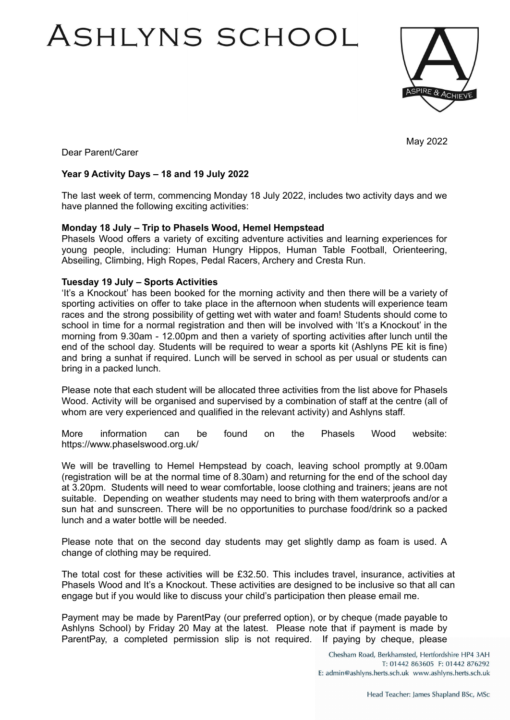# ASHLYNS SCHOOL



May 2022

Dear Parent/Carer

## **Year 9 Activity Days – 18 and 19 July 2022**

The last week of term, commencing Monday 18 July 2022, includes two activity days and we have planned the following exciting activities:

#### **Monday 18 July – Trip to Phasels Wood, Hemel Hempstead**

Phasels Wood offers a variety of exciting adventure activities and learning experiences for young people, including: Human Hungry Hippos, Human Table Football, Orienteering, Abseiling, Climbing, High Ropes, Pedal Racers, Archery and Cresta Run.

### **Tuesday 19 July – Sports Activities**

'It's a Knockout' has been booked for the morning activity and then there will be a variety of sporting activities on offer to take place in the afternoon when students will experience team races and the strong possibility of getting wet with water and foam! Students should come to school in time for a normal registration and then will be involved with 'It's a Knockout' in the morning from 9.30am - 12.00pm and then a variety of sporting activities after lunch until the end of the school day. Students will be required to wear a sports kit (Ashlyns PE kit is fine) and bring a sunhat if required. Lunch will be served in school as per usual or students can bring in a packed lunch.

Please note that each student will be allocated three activities from the list above for Phasels Wood. Activity will be organised and supervised by a combination of staff at the centre (all of whom are very experienced and qualified in the relevant activity) and Ashlyns staff.

More information can be found on the Phasels Wood website: https://www.phaselswood.org.uk/

We will be travelling to Hemel Hempstead by coach, leaving school promptly at 9.00am (registration will be at the normal time of 8.30am) and returning for the end of the school day at 3.20pm. Students will need to wear comfortable, loose clothing and trainers; jeans are not suitable. Depending on weather students may need to bring with them waterproofs and/or a sun hat and sunscreen. There will be no opportunities to purchase food/drink so a packed lunch and a water bottle will be needed.

Please note that on the second day students may get slightly damp as foam is used. A change of clothing may be required.

The total cost for these activities will be £32.50. This includes travel, insurance, activities at Phasels Wood and It's a Knockout. These activities are designed to be inclusive so that all can engage but if you would like to discuss your child's participation then please email me.

Payment may be made by ParentPay (our preferred option), or by cheque (made payable to Ashlyns School) by Friday 20 May at the latest. Please note that if payment is made by ParentPay, a completed permission slip is not required. If paying by cheque, please